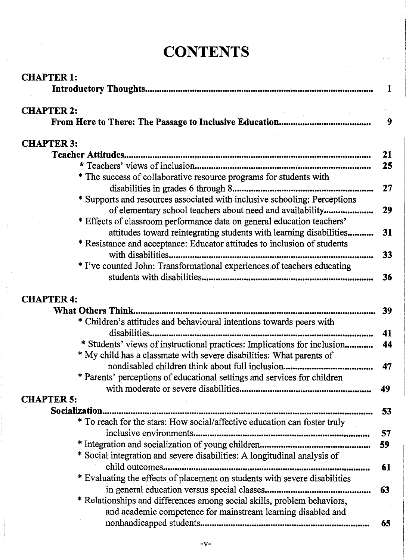### **CONTENTS**

| <b>CHAPTER 1:</b>                                                          | 1  |
|----------------------------------------------------------------------------|----|
| <b>CHAPTER 2:</b>                                                          |    |
|                                                                            | 9  |
| <b>CHAPTER 3:</b>                                                          |    |
|                                                                            | 21 |
|                                                                            | 25 |
| * The success of collaborative resource programs for students with         |    |
|                                                                            | 27 |
| * Supports and resources associated with inclusive schooling: Perceptions  |    |
| of elementary school teachers about need and availability                  | 29 |
| * Effects of classroom performance data on general education teachers'     |    |
| attitudes toward reintegrating students with learning disabilities         | 31 |
| * Resistance and acceptance: Educator attitudes to inclusion of students   |    |
|                                                                            | 33 |
| * I've counted John: Transformational experiences of teachers educating    |    |
|                                                                            | 36 |
| <b>CHAPTER 4:</b>                                                          |    |
|                                                                            | 39 |
| * Children's attitudes and behavioural intentions towards peers with       |    |
|                                                                            | 41 |
| * Students' views of instructional practices: Implications for inclusion   | 44 |
| * My child has a classmate with severe disabilities: What parents of       |    |
|                                                                            | 47 |
| * Parents' perceptions of educational settings and services for children   |    |
|                                                                            | 49 |
| <b>CHAPTER 5:</b>                                                          |    |
|                                                                            | 53 |
| * To reach for the stars: How social/affective education can foster truly  |    |
| inclusive environments                                                     | 57 |
|                                                                            | 59 |
| * Social integration and severe disabilities: A longitudinal analysis of   |    |
|                                                                            | 61 |
| * Evaluating the effects of placement on students with severe disabilities |    |
|                                                                            | 63 |
| * Relationships and differences among social skills, problem behaviors,    |    |
| and academic competence for mainstream learning disabled and               |    |
|                                                                            | 65 |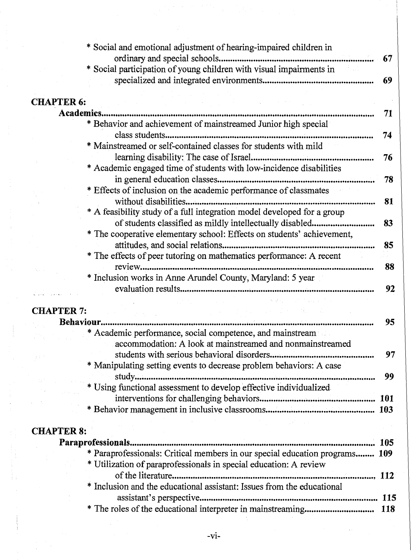|                   | * Social and emotional adjustment of hearing-impaired children in           |            |
|-------------------|-----------------------------------------------------------------------------|------------|
|                   |                                                                             | 67         |
|                   | * Social participation of young children with visual impairments in         |            |
|                   |                                                                             | 69         |
|                   |                                                                             |            |
| <b>CHAPTER 6:</b> |                                                                             |            |
| Academics.        |                                                                             | 71         |
|                   | * Behavior and achievement of mainstreamed Junior high special              |            |
|                   |                                                                             | 74         |
|                   | * Mainstreamed or self-contained classes for students with mild             |            |
|                   |                                                                             | 76         |
|                   | * Academic engaged time of students with low-incidence disabilities         |            |
|                   |                                                                             | 78         |
|                   | * Effects of inclusion on the academic performance of classmates            |            |
|                   |                                                                             | 81         |
|                   | * A feasibility study of a full integration model developed for a group     |            |
|                   | of students classified as mildly intellectually disabled                    | 83         |
|                   | * The cooperative elementary school: Effects on students' achievement,      |            |
|                   |                                                                             | 85         |
|                   | * The effects of peer tutoring on mathematics performance: A recent         |            |
|                   |                                                                             | 88         |
|                   | * Inclusion works in Anne Arundel County, Maryland: 5 year                  | 92         |
|                   | can also considerable to the con-                                           |            |
| <b>CHAPTER 7:</b> |                                                                             |            |
|                   |                                                                             | 95         |
|                   | Academic performance, social competence, and mainstream                     |            |
|                   | accommodation: A look at mainstreamed and nonmainstreamed                   |            |
|                   |                                                                             | 97         |
|                   | * Manipulating setting events to decrease problem behaviors: A case         |            |
|                   |                                                                             | 99         |
|                   | * Using functional assessment to develop effective individualized           |            |
|                   |                                                                             |            |
|                   |                                                                             |            |
|                   |                                                                             |            |
| <b>CHAPTER 8:</b> |                                                                             |            |
|                   |                                                                             | <b>105</b> |
|                   | * Paraprofessionals: Critical members in our special education programs 109 |            |
|                   | * Utilization of paraprofessionals in special education: A review           |            |
|                   |                                                                             |            |
|                   | * Inclusion and the educational assistant: Issues from the educational      |            |
|                   |                                                                             |            |
|                   |                                                                             |            |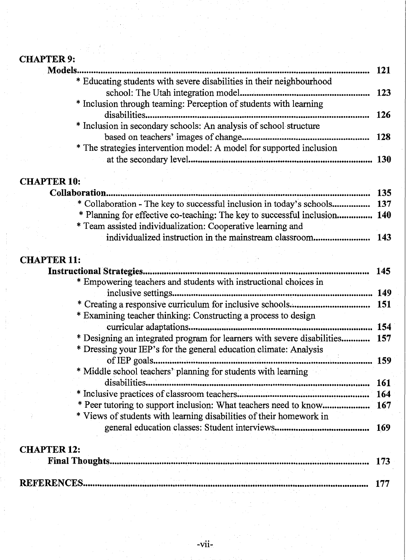## CHAPTER 9:

| Models.                                                              |      |
|----------------------------------------------------------------------|------|
| * Educating students with severe disabilities in their neighbourhood | 123  |
| * Inclusion through teaming: Perception of students with learning    |      |
|                                                                      | 126. |
| * Inclusion in secondary schools: An analysis of school structure    | 128  |
| * The strategies intervention model: A model for supported inclusion | 130. |
| アル・セット かいしょう かんかいしょう                                                 |      |
| <b>PTER 10:</b>                                                      |      |

# CHAPTER 10:<br>Collaboration...

| * Collaboration - The key to successful inclusion in today's schools 137  |      |
|---------------------------------------------------------------------------|------|
| * Planning for effective co-teaching: The key to successful inclusion 140 |      |
| * Team assisted individualization: Cooperative learning and               |      |
| individualized instruction in the mainstream classroom                    | -143 |

### CHAPTER 11:

|                                                                         | 145. |
|-------------------------------------------------------------------------|------|
| * Empowering teachers and students with instructional choices in        |      |
|                                                                         | 149  |
|                                                                         | 151  |
| * Examining teacher thinking: Constructing a process to design          |      |
| curricular adaptations                                                  | 154  |
| * Designing an integrated program for learners with severe disabilities | 157  |
| * Dressing your IEP's for the general education climate: Analysis       |      |
| of IEP goals                                                            | 159  |
| * Middle school teachers' planning for students with learning           |      |
| disabilities                                                            | 161  |
|                                                                         | 164  |
|                                                                         |      |
| * Views of students with learning disabilities of their homework in     |      |
|                                                                         | 169  |
|                                                                         |      |
| <b>CHAPTER 12:</b>                                                      |      |
| The all The second a                                                    |      |

 $\label{eq:2.1} \mathcal{L}^{\mathcal{A}}(\mathcal{A})=\mathcal{L}^{\mathcal{A}}(\mathcal{A})\mathcal{A}^{\mathcal{A}}(\mathcal{A})=\mathcal{L}^{\mathcal{A}}(\mathcal{A})\mathcal{A}^{\mathcal{A}}(\mathcal{A})=\mathcal{L}^{\mathcal{A}}(\mathcal{A})\mathcal{A}^{\mathcal{A}}(\mathcal{A})\mathcal{A}^{\mathcal{A}}(\mathcal{A})\mathcal{A}^{\mathcal{A}}(\mathcal{A})\mathcal{A}^{\mathcal{A}}(\mathcal{A})\mathcal{A}^{\mathcal{A}}(\mathcal{A})\math$ 

| <b>REFERENCES</b> |  |  |  |
|-------------------|--|--|--|
|                   |  |  |  |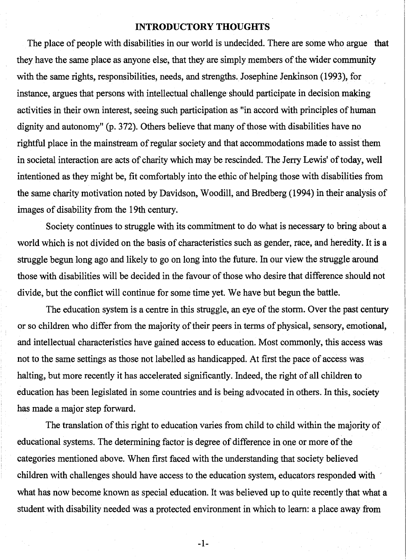#### **INTRODUCTORY THOUGHTS**

The place of people with disabilities in our world is undecided. There are some who argue that they have the same place as anyone else, that they are simply members of the wider community with the same rights, responsibilities, needs, and strengths. Josephine Jenkinson (1993), for instance, argues that persons with intellectual challenge should participate in decision making activities in their own interest, seeing such participation as "in accord with principles of human dignity and autonomy" (p. 372). Others believe that many of those with disabilities have no rightful place in the mainstream of regular society and that accommodations made to assist them in societal interaction are acts of charity which may be rescinded. The Jerry Lewis' of today, well intentioned as they might be, fit comfortably into the ethic of helping those with disabilities from the same charity motivation noted by Davidson, Woodill, and Bredberg (1994) in their analysis of images of disability from the 19th century.

Society continues to struggle with its commitment to do what is necessary to bring about a world which is not divided on the basis of characteristics such as gender, race, and heredity. It is a struggle begun long ago and likely to go on long into the future. In our view the struggle around those with disabilities will be decided in the favour of those who desire that difference should not divide, but the conflict will continue for some time yet. We have but begun the battle.

The education system is a centre in this struggle, an eye of the storm. Over the past century or so children who differ from the majority of their peers in terms of physical, sensory, emotional, and intellectual characteristics have gained access to education. Most commonly, this access was not to the same settings as those not labelled as handicapped. At first the pace of access was halting, but more recently it has accelerated significantly. Indeed, the right of all children to education has been legislated in some countries and is being advocated in others. In this, society has made a major step forward.

The translation of this right to education varies from child to child within the majority of educational systems. The determining factor is degree of difference in one or more of the categories mentioned above. When first faced with the understanding that society believed children with challenges should have access to the education system, educators responded with what has now become known as special education. It was believed up to quite recently that what a student with disability needed was a protected environment in which to learn: a place away from

-1-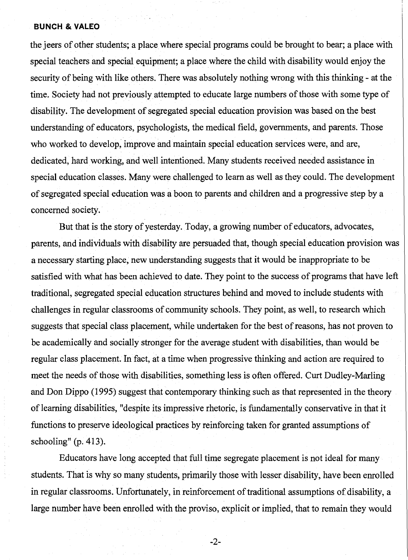#### **BUNCH & VALEO**

the jeers of other students; a place where special programs could be brought to bear; a place with special teachers and special equipment; a place where the child with disability would enjoy the security of being with like others. There was absolutely nothing wrong with this thinking - at the time. Society had not previously attempted to educate large numbers of those with some type of disability. The development of segregated special education provision was based on the best understanding of educators, psychologists, the medical field, governments, and parents. Those who worked to develop, improve and maintain special education services were, and are, dedicated, hard working, and well intentioned. Many students received needed assistance in special education classes. Many were challenged to learn as well as they could. The development of segregated special education was a boon to parents and children and a progressive step by a concerned society.

But that is the story of yesterday. Today, a growing number of educators, advocates, parents, and individuals with disability are persuaded that, though special education provision was a necessary starting place, new understanding suggests that it would be inappropriate to be satisfied with what has been achieved to date. They point to the success of programs that have left traditional, segregated special education structures behind and moved to include students with challenges in regular classrooms of community schools. They point, as well, to research which suggests that special class placement, while undertaken for the best of reasons, has not proven to be academically and socially stronger for the average student with disabilities, than would be regular class placement. In fact, at a time when progressive thinking and action are required to meet the needs of those with disabilities, something less is often offered. Curt Dudley-Marling and Don Dippo (1995) suggest that contemporary thinking such as that represented in the theory of learning disabilities, "despite its impressive rhetoric, is fundamentally conservative in that it functions to preserve ideological practices by reinforcing taken for granted assumptions of schooling" (p. 413).

Educators have long accepted that full time segregate placement is not ideal for many students. That is why so many students, primarily those with lesser disability, have been enrolled in regular classrooms. Unfortunately, in reinforcement of traditional assumptions of disability, a large number have been enrolled with the proviso, explicit or implied, that to remain they would

-2-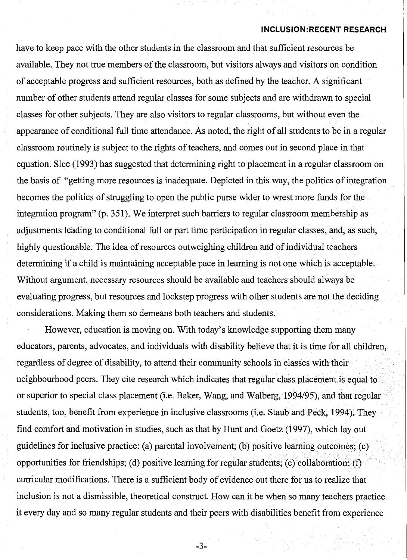#### **INCLUSION:RECENT RESEARCH**

have to keep pace with the other students in the classroom and that sufficient resources be available. They not true members of the classroom, but visitors always and visitors on condition of acceptable progress and sufficient resources, both as defined by the teacher. A significant number of other students attend regular classes for some subjects and are withdrawn to special classes for other subjects. They are also visitors to regular classrooms, but without even the appearance of conditional full time attendance. As noted, the right of all students to be in a regular classroom routinely is subject to the rights of teachers, and comes out in second place in that equation. Slee (1993) has suggested that determining right to placement in a regular classroom on the basis of "getting more resources is inadequate. Depicted in this way, the politics of integration becomes the politics of struggling to open the public purse wider to wrest more funds for the integration program" (p. 351). We interpret such barriers to regular classroom membership as adjustments leading to conditional full or part time participation in regular classes, and, as such, highly questionable. The idea of resources outweighing children and of individual teachers determining if a child is maintaining acceptable pace in learning is not one which is acceptable. Without argument, necessary resources should be available and teachers should always be evaluating progress, but resources and lockstep progress with other students are not the deciding considerations. Making them so demeans both teachers and students.

However, education is moving on. With today's knowledge supporting them many educators, parents, advocates, and individuals with disability believe that it is time for all children, regardless of degree of disability, to attend their community schoolsin classes with their neighbourhood peers. They cite research which indicates that regular class placement is equal to or superior to special class placement (i.e. Baker, Wang, and Walberg, 1994/95), and that regular students, too, benefit from experience in inclusive classrooms (i.e. Staub and Peck, 1994). They find comfort and motivation in studies, such as that by Hunt and Goetz (1997), which layout guidelines for inclusive practice: (a) parental involvement; (b) positive learning outcomes; (c) opportunities for friendships; (d) positive learning for regular students; (e) collaboration; (f) curricular modifications. There is a sufficient body of evidence out there for us to realize that inclusion is not a dismissible, theoretical construct. How can it be when so many teachers practice it every day and so many regular students and their peers with disabilities benefit from experience

-3-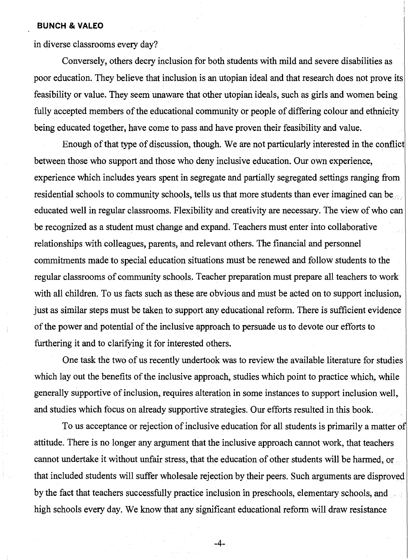#### **BUNCH & VALEO**

in diverse classrooms every day?

Conversely, others decry inclusion for both students with mild and severe disabilities as poor education. They believe that inclusion is an utopian ideal and that research does not prove its feasibility or value. They seem unaware that other utopian ideals, such as girls and women being fully accepted members of the educational community or people of differing colour and ethnicity being educated together, have come to pass and have proven their feasibility and value.

Enough of that type of discussion, though. We are not particularly interested in the conflict between those who support and those who deny inclusive education. Our own experience, experience which includes years spent in segregate and partially segregated settings ranging from residential schools to community schools, tells us that more students than ever imagined can be educated well in regular classrooms. Flexibility and creativity are necessary. The view of who can be recognized as a student must change and expand. Teachers must enter into collaborative relationships with colleagues, parents, and relevant others. The financial and personnel commitments made to special education situations must be renewed and follow students to the regular classrooms of community schools. Teacher preparation must prepare all teachers to work with all children. To us facts such as these are obvious and must be acted on to support inclusion, just as similar steps must be taken to support any educational reform. There is sufficient evidence of the power and potential of the inclusive approach to persuade us to devote our efforts to furthering it and to clarifying it for interested others.

One task the two of us recently undertook was to review the available literature for studies which lay out the benefits of the inclusive approach, studies which point to practice which, while generally supportive of inclusion, requires alteration in some instances to support inclusion well, and studies which focus on already supportive strategies. Our efforts resulted in this book.

To us acceptance or rejection of inclusive education for all students is primarily a matter of attitude. There is no longer any argument that the inclusive approach cannot work, that teachers cannot undertake it without unfair stress, that the education of other students will be harmed, or that included students will suffer wholesale rejection by their peers. Such arguments are disproved by the fact that teachers successfully practice inclusion in preschools, elementary schools, and high schools every day. We know that any significant educational reform will draw resistance

-4-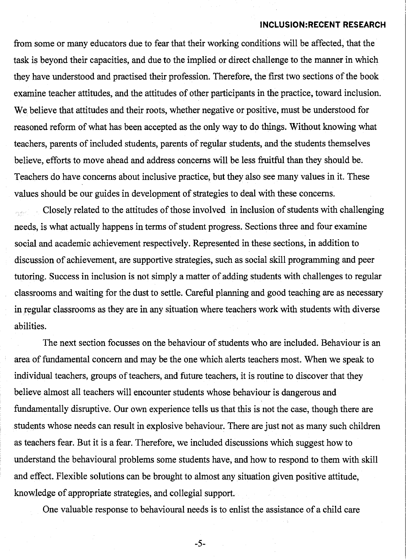#### **INCLUSION:RECENT RESEARCH**

from some or many educators due to fear that their working conditions will be affected, that the task is beyond their capacities, and due to the implied or direct challenge to the manner in which they have understood and practised their profession. Therefore, the first two sections of the book examine teacher attitudes, and the attitudes of other participants in the practice, toward inclusion. We believe that attitudes and their roots, whether negative or positive, must be understood for reasoned reform of what has been accepted as the only way to do things. Without knowing what teachers, parents of included students, parents of regular students, and the students themselves believe, efforts to move ahead and address concerns will be less fruitful than they should be. Teachers do have concerns about inclusive practice, but they also see many values in it. These values should be our guides in development of strategies to deal with these concerns.

Closely related to the attitudes of those involved in inclusion of students with challenging needs, is what actually happens in terms of student progress. Sections three and four examine social and academic achievement respectively. Represented in these sections, in addition to discussion of achievement, are supportive strategies, such as social skill programming and peer tutoring. Success in inclusion is not simply a matter of adding students with challenges to regular classrooms and waiting for the dust to settle. Careful planning and good teaching are as necessary in regular classrooms as they are in any situation where teachers work with students with diverse abilities.

The next section focusses on the behaviour of students who are included. Behaviour is an area of fundamental concern and may be the one which alerts teachers most. When we speak to individual teachers, groups of teachers, and future teachers, it is routine to discover that they believe almost all teachers will encounter students whose behaviour is dangerous and fundamentally disruptive. Our own experience tells us that this is not the case, though there are students whose needs can result in explosive behaviour. There are just not as many such children as teachers fear. But it is a fear. Therefore, we included discussions which suggest how to understand the behavioural problems some students have, and how to respond to them with skill and effect. Flexible solutions can be brought to almost any situation given positive attitude, knowledge of appropriate strategies, and collegial support.

One valuable response to behavioural needs is to enlist the assistance of a child care

-5-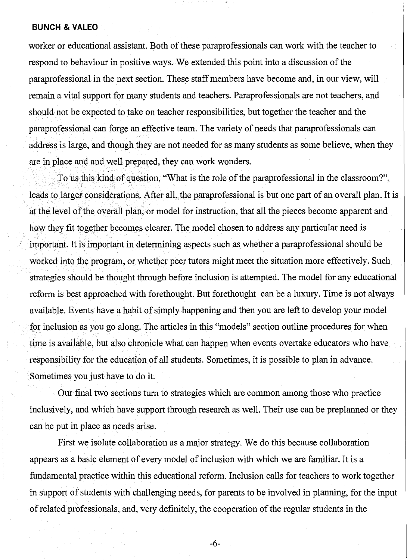#### **BUNCH & VALEO**

worker or educational assistant. Both of these paraprofessionals can work with the teacher to respond to behaviour in positive ways. We extended this point into a discussion of the paraprofessional in the next section. These staff members have become and, in our view, will remain a vital support for many students and teachers. Paraprofessionals are not teachers, and should not be expected to take on teacher responsibilities, but together the teacher and the paraprofessional can forge an effective team. The variety of needs that paraprofessionals can address is large, and though they are not needed for as many students as some believe, when they are in place and and well prepared, they can work wonders.

To us this kind of question, "What is the role of the paraprofessional in the classroom?", leads to larger considerations. After all, the paraprofessional is but one part of an overall plan. It is at the level of the overall plan, or model for instruction, that all the pieces become apparent and how they fit together becomes clearer. The model chosen to address any particular need is important. It is important in determining aspects such as whether a paraprofessional should be worked into the program, or whether peer tutors might meet the situation more effectively. Such strategies should be thought through before inclusion is attempted. The model for any educational reform is best approached with forethought. But forethought can be a luxury. Time is not always available. Events have a habit of simply happening and then you are left to develop your model for inclusion as you go along. The articles in this "models" section outline procedures for when time is available, but also chronicle what can happen when events overtake educators who have responsibility for the education of all students. Sometimes, it is possible to plan in advance. Sometimes you just have to do it.

Our final two sections turn to strategies which are common among those who practice inclusively, and which have support through research as well. Their use can be preplanned or they can be put in place as needs arise.

First we isolate collaboration as a major strategy. We do this because collaboration appears as a basic element of every model of inclusion with which we are familiar. It is a fundamental practice within this educational reform. Inclusion calls for teachers to work together in support of students with challenging needs, for parents to be involved in planning, for the input of related professionals, and, very definitely, the cooperation of the regular students in the

-6-